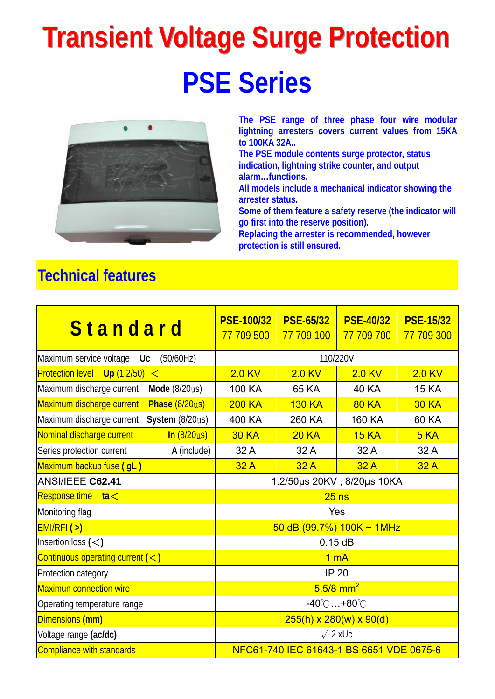# **Transient Voltage Surge Protection PSE Series**



**The PSE range of three phase four wire modular lightning arresters covers current values from 15KA to 100KA 32A..** 

**The PSE module contents surge protector, status indication, lightning strike counter, and output alarm…functions.** 

**All models include a mechanical indicator showing the arrester status.** 

**Some of them feature a safety reserve (the indicator will go first into the reserve position).** 

**Replacing the arrester is recommended, however protection is still ensured.** 

### **Technical features**

| Standard                                                       | <b>PSE-100/32</b><br>77 709 500          | <b>PSE-65/32</b><br>77 709 100 | <b>PSE-40/32</b><br>77 709 700 | <b>PSE-15/32</b><br>77 709 300 |  |
|----------------------------------------------------------------|------------------------------------------|--------------------------------|--------------------------------|--------------------------------|--|
| Maximum service voltage<br>(50/60Hz)<br>Uc                     | 110/220V                                 |                                |                                |                                |  |
| Protection level Up (1.2/50)<br>$\lt$                          | $2.0$ KV                                 | $2.0$ KV                       | $2.0$ KV                       | $2.0$ KV                       |  |
| Maximum discharge current<br>Mode (8/20us)                     | 100 KA                                   | 65 KA                          | <b>40 KA</b>                   | <b>15 KA</b>                   |  |
| Maximum discharge current<br>Phase (8/20us)                    | <b>200 KA</b>                            | <b>130 KA</b>                  | <b>80 KA</b>                   | <b>30 KA</b>                   |  |
| Maximum discharge current<br>System (8/20us)                   | 400 KA                                   | 260 KA                         | 160 KA                         | 60 KA                          |  |
| Nominal discharge current<br>ln(8/20u)                         | <b>30 KA</b>                             | <b>20 KA</b>                   | <b>15 KA</b>                   | 5KA                            |  |
| A (include)<br>Series protection current                       | 32 A                                     | 32 A                           | 32 A                           | 32 A                           |  |
| Maximum backup fuse (gL)                                       | 32A                                      | 32A                            | 32A                            | 32A                            |  |
| ANSI/IEEE C62.41                                               | 1.2/50µs 20KV, 8/20µs 10KA               |                                |                                |                                |  |
| Response time<br>ta <                                          | $25$ ns                                  |                                |                                |                                |  |
| Monitoring flag                                                | Yes                                      |                                |                                |                                |  |
| EMI/RFI(>)                                                     | 50 dB (99.7%) $100K \sim 1MHz$           |                                |                                |                                |  |
| Insertion loss $(<)$                                           | 0.15dB                                   |                                |                                |                                |  |
| Continuous operating current $(<)$                             | 1 <sub>m</sub> A                         |                                |                                |                                |  |
| Protection category                                            | <b>IP 20</b>                             |                                |                                |                                |  |
| <b>Maximun connection wire</b>                                 | $5.5/8$ mm <sup>2</sup>                  |                                |                                |                                |  |
| $-40^{\circ}$ C $+80^{\circ}$ C<br>Operating temperature range |                                          |                                |                                |                                |  |
| Dimensions (mm)                                                | $255(h) \times 280(w) \times 90(d)$      |                                |                                |                                |  |
| Voltage range (ac/dc)                                          | $\sqrt{2}$ xUc                           |                                |                                |                                |  |
| Compliance with standards                                      | NFC61-740 IEC 61643-1 BS 6651 VDE 0675-6 |                                |                                |                                |  |